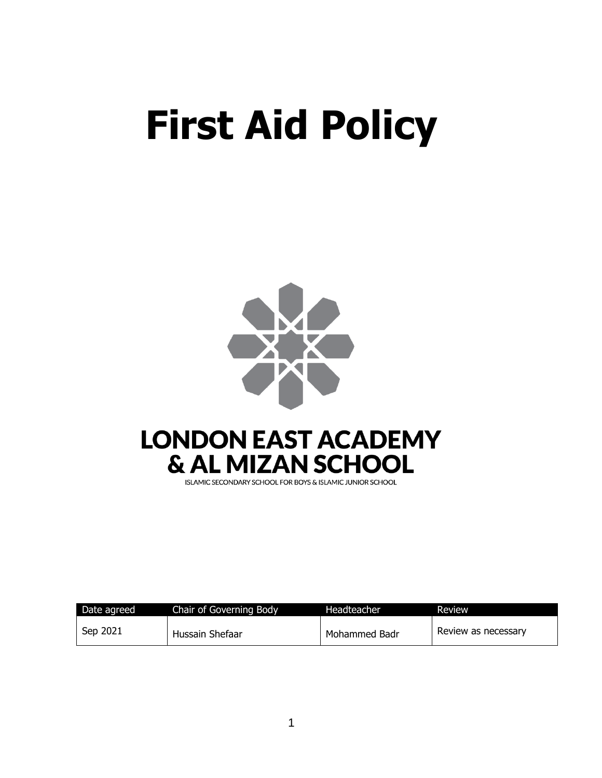# **First Aid Policy**



| Date agreed | Chair of Governing Body | Headteacher   | Review              |
|-------------|-------------------------|---------------|---------------------|
| Sep 2021    | Hussain Shefaar         | Mohammed Badr | Review as necessary |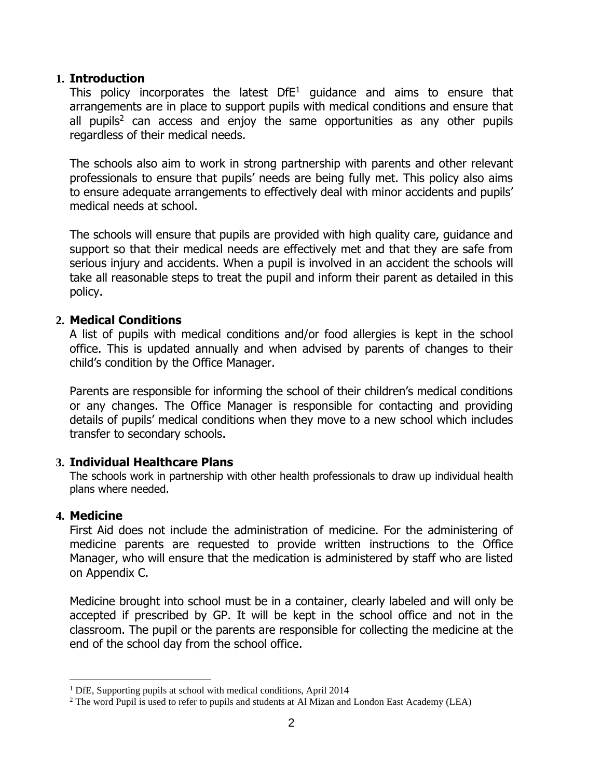#### **1. Introduction**

This policy incorporates the latest  $DFE<sup>1</sup>$  guidance and aims to ensure that arrangements are in place to support pupils with medical conditions and ensure that all pupils<sup>2</sup> can access and enjoy the same opportunities as any other pupils regardless of their medical needs.

The schools also aim to work in strong partnership with parents and other relevant professionals to ensure that pupils' needs are being fully met. This policy also aims to ensure adequate arrangements to effectively deal with minor accidents and pupils' medical needs at school.

The schools will ensure that pupils are provided with high quality care, guidance and support so that their medical needs are effectively met and that they are safe from serious injury and accidents. When a pupil is involved in an accident the schools will take all reasonable steps to treat the pupil and inform their parent as detailed in this policy.

#### **2. Medical Conditions**

A list of pupils with medical conditions and/or food allergies is kept in the school office. This is updated annually and when advised by parents of changes to their child's condition by the Office Manager.

Parents are responsible for informing the school of their children's medical conditions or any changes. The Office Manager is responsible for contacting and providing details of pupils' medical conditions when they move to a new school which includes transfer to secondary schools.

#### **3. Individual Healthcare Plans**

The schools work in partnership with other health professionals to draw up individual health plans where needed.

## **4. Medicine**

First Aid does not include the administration of medicine. For the administering of medicine parents are requested to provide written instructions to the Office Manager, who will ensure that the medication is administered by staff who are listed on Appendix C.

Medicine brought into school must be in a container, clearly labeled and will only be accepted if prescribed by GP. It will be kept in the school office and not in the classroom. The pupil or the parents are responsible for collecting the medicine at the end of the school day from the school office.

<sup>1</sup> DfE, Supporting pupils at school with medical conditions, April 2014

<sup>&</sup>lt;sup>2</sup> The word Pupil is used to refer to pupils and students at Al Mizan and London East Academy (LEA)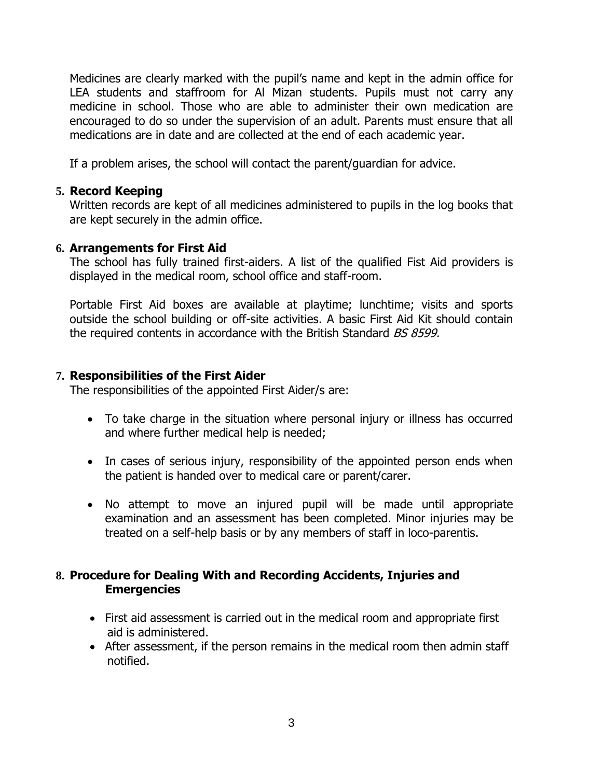Medicines are clearly marked with the pupil's name and kept in the admin office for LEA students and staffroom for Al Mizan students. Pupils must not carry any medicine in school. Those who are able to administer their own medication are encouraged to do so under the supervision of an adult. Parents must ensure that all medications are in date and are collected at the end of each academic year.

If a problem arises, the school will contact the parent/guardian for advice.

## **5. Record Keeping**

Written records are kept of all medicines administered to pupils in the log books that are kept securely in the admin office.

## **6. Arrangements for First Aid**

The school has fully trained first-aiders. A list of the qualified Fist Aid providers is displayed in the medical room, school office and staff-room.

Portable First Aid boxes are available at playtime; lunchtime; visits and sports outside the school building or off-site activities. A basic First Aid Kit should contain the required contents in accordance with the British Standard BS 8599.

## **7. Responsibilities of the First Aider**

The responsibilities of the appointed First Aider/s are:

- To take charge in the situation where personal injury or illness has occurred and where further medical help is needed;
- In cases of serious injury, responsibility of the appointed person ends when the patient is handed over to medical care or parent/carer.
- No attempt to move an injured pupil will be made until appropriate examination and an assessment has been completed. Minor injuries may be treated on a self-help basis or by any members of staff in loco-parentis.

## **8. Procedure for Dealing With and Recording Accidents, Injuries and Emergencies**

- First aid assessment is carried out in the medical room and appropriate first aid is administered.
- After assessment, if the person remains in the medical room then admin staff notified.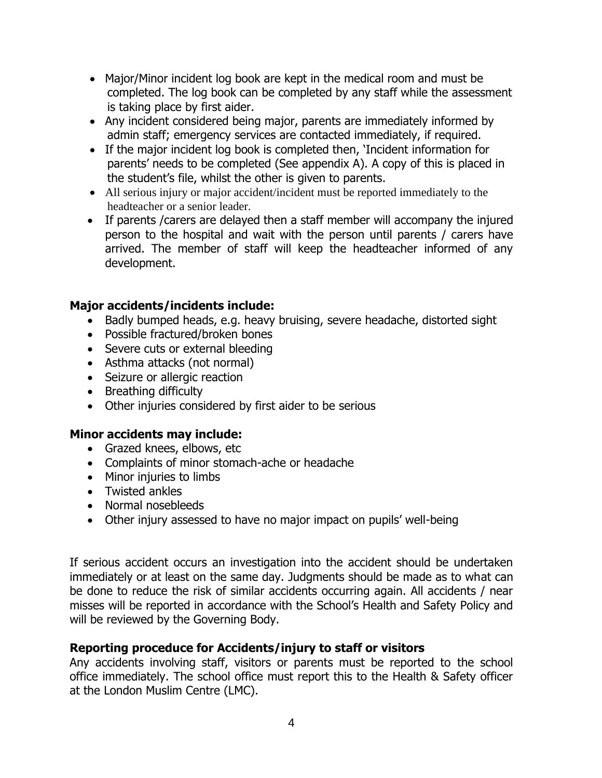- Major/Minor incident log book are kept in the medical room and must be completed. The log book can be completed by any staff while the assessment is taking place by first aider.
- Any incident considered being major, parents are immediately informed by admin staff; emergency services are contacted immediately, if required.
- If the major incident log book is completed then, 'Incident information for parents' needs to be completed (See appendix A). A copy of this is placed in the student's file, whilst the other is given to parents.
- All serious injury or major accident/incident must be reported immediately to the headteacher or a senior leader.
- If parents /carers are delayed then a staff member will accompany the injured person to the hospital and wait with the person until parents / carers have arrived. The member of staff will keep the headteacher informed of any development.

## **Major accidents/incidents include:**

- Badly bumped heads, e.g. heavy bruising, severe headache, distorted sight
- Possible fractured/broken bones
- Severe cuts or external bleeding
- Asthma attacks (not normal)
- Seizure or allergic reaction
- Breathing difficulty
- Other injuries considered by first aider to be serious

## **Minor accidents may include:**

- Grazed knees, elbows, etc
- Complaints of minor stomach-ache or headache
- Minor injuries to limbs
- Twisted ankles
- Normal nosebleeds
- Other injury assessed to have no major impact on pupils' well-being

If serious accident occurs an investigation into the accident should be undertaken immediately or at least on the same day. Judgments should be made as to what can be done to reduce the risk of similar accidents occurring again. All accidents / near misses will be reported in accordance with the School's Health and Safety Policy and will be reviewed by the Governing Body.

## **Reporting proceduce for Accidents/injury to staff or visitors**

Any accidents involving staff, visitors or parents must be reported to the school office immediately. The school office must report this to the Health & Safety officer at the London Muslim Centre (LMC).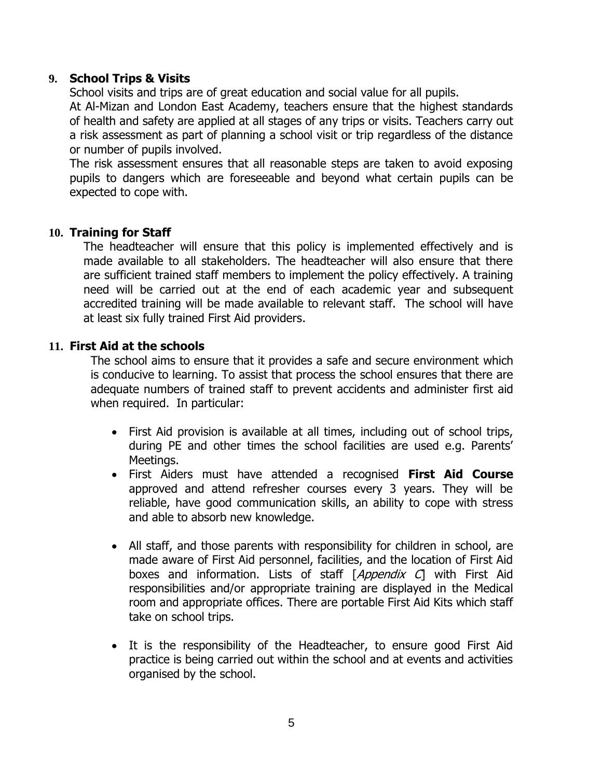#### **9. School Trips & Visits**

School visits and trips are of great education and social value for all pupils.

At Al-Mizan and London East Academy, teachers ensure that the highest standards of health and safety are applied at all stages of any trips or visits. Teachers carry out a risk assessment as part of planning a school visit or trip regardless of the distance or number of pupils involved.

The risk assessment ensures that all reasonable steps are taken to avoid exposing pupils to dangers which are foreseeable and beyond what certain pupils can be expected to cope with.

#### **10. Training for Staff**

The headteacher will ensure that this policy is implemented effectively and is made available to all stakeholders. The headteacher will also ensure that there are sufficient trained staff members to implement the policy effectively. A training need will be carried out at the end of each academic year and subsequent accredited training will be made available to relevant staff. The school will have at least six fully trained First Aid providers.

#### **11. First Aid at the schools**

The school aims to ensure that it provides a safe and secure environment which is conducive to learning. To assist that process the school ensures that there are adequate numbers of trained staff to prevent accidents and administer first aid when required. In particular:

- First Aid provision is available at all times, including out of school trips, during PE and other times the school facilities are used e.g. Parents' Meetings.
- First Aiders must have attended a recognised **First Aid Course** approved and attend refresher courses every 3 years. They will be reliable, have good communication skills, an ability to cope with stress and able to absorb new knowledge.
- All staff, and those parents with responsibility for children in school, are made aware of First Aid personnel, facilities, and the location of First Aid boxes and information. Lists of staff [Appendix C] with First Aid responsibilities and/or appropriate training are displayed in the Medical room and appropriate offices. There are portable First Aid Kits which staff take on school trips.
- It is the responsibility of the Headteacher, to ensure good First Aid practice is being carried out within the school and at events and activities organised by the school.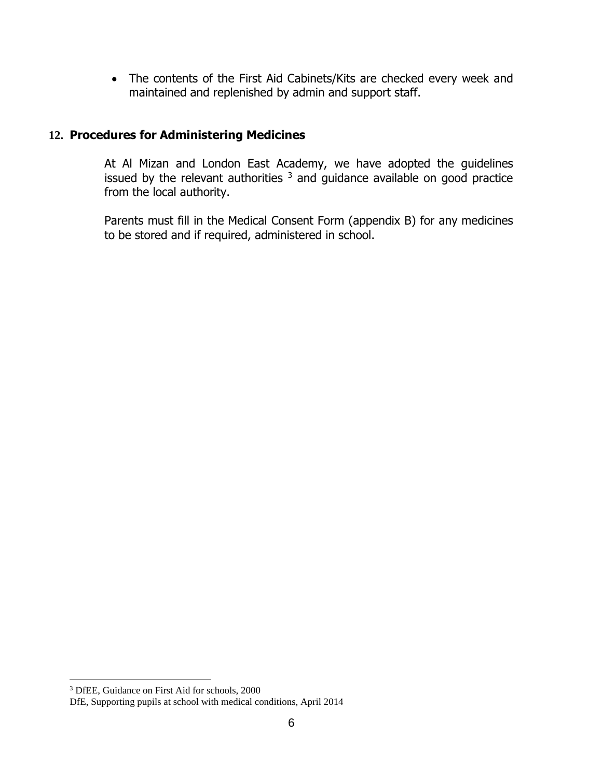• The contents of the First Aid Cabinets/Kits are checked every week and maintained and replenished by admin and support staff.

## **12. Procedures for Administering Medicines**

At Al Mizan and London East Academy, we have adopted the guidelines issued by the relevant authorities  $3$  and guidance available on good practice from the local authority.

Parents must fill in the Medical Consent Form (appendix B) for any medicines to be stored and if required, administered in school.

<sup>3</sup> DfEE, Guidance on First Aid for schools, 2000

DfE, Supporting pupils at school with medical conditions, April 2014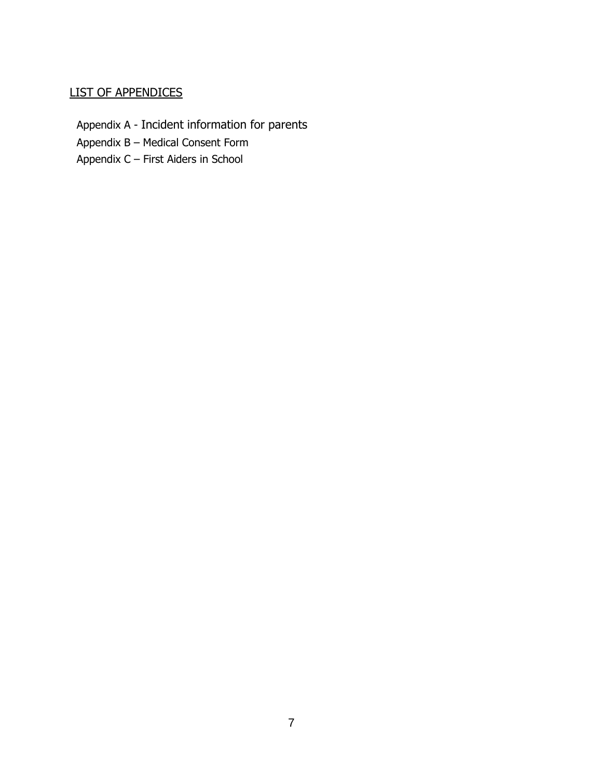#### LIST OF APPENDICES

Appendix A - Incident information for parents

Appendix B – Medical Consent Form

Appendix C – First Aiders in School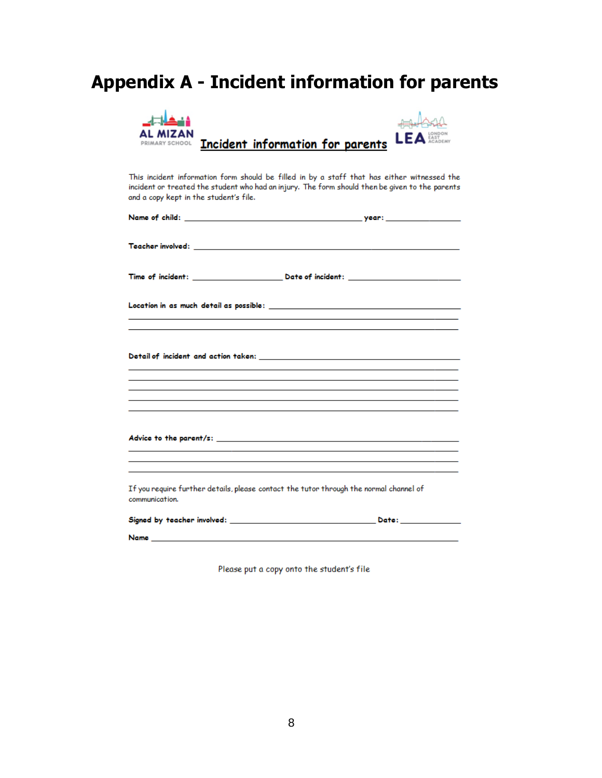# **Appendix A - Incident information for parents**

| AL MIZAN<br>PRIMARY SCHOOL             | L E.<br>Incident information for parents                                                                                                                                                       |
|----------------------------------------|------------------------------------------------------------------------------------------------------------------------------------------------------------------------------------------------|
| and a copy kept in the student's file. | This incident information form should be filled in by a staff that has either witnessed the<br>incident or treated the student who had an injury. The form should then be given to the parents |
|                                        |                                                                                                                                                                                                |
|                                        |                                                                                                                                                                                                |
|                                        |                                                                                                                                                                                                |
|                                        |                                                                                                                                                                                                |
|                                        |                                                                                                                                                                                                |
|                                        |                                                                                                                                                                                                |
| communication.                         | If you require further details, please contact the tutor through the normal channel of                                                                                                         |
|                                        |                                                                                                                                                                                                |

Please put a copy onto the student's file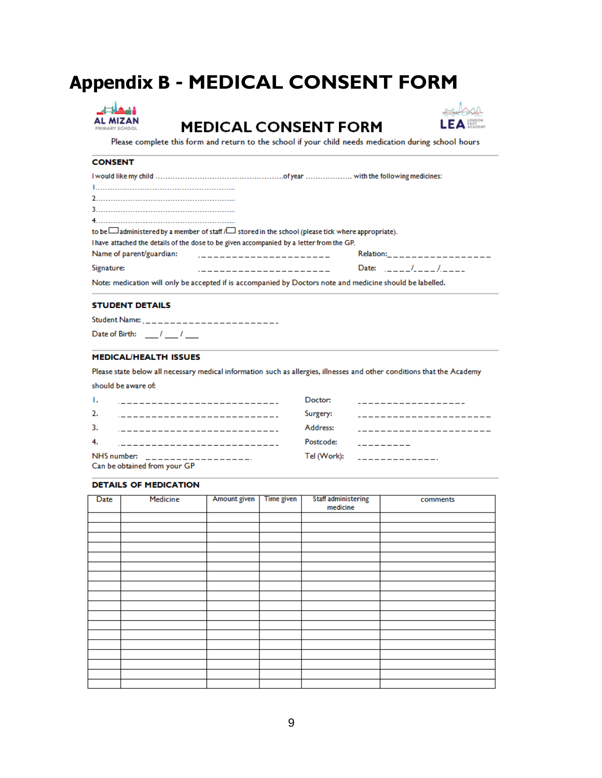# **Appendix B - MEDICAL CONSENT FORM**



**MEDICAL CONSENT FORM** 



Please complete this form and return to the school if your child needs medication during school hours

#### **CONSENT**

| to be $\Box$ administered by a member of staff $\Box$ stored in the school (please tick where appropriate).                                                                                                                                  |                           |                             |
|----------------------------------------------------------------------------------------------------------------------------------------------------------------------------------------------------------------------------------------------|---------------------------|-----------------------------|
| Thave attached the details of the dose to be given accompanied by a letter from the GP.                                                                                                                                                      |                           |                             |
|                                                                                                                                                                                                                                              |                           | Relation:__________________ |
| Signature:<br>and a construction of the contract of the contract of the contract of the contract of the contract of the contract of the contract of the contract of the contract of the contract of the contract of the contract of the cont | Date: $1 - 1 - 1 - 1 - 1$ |                             |
| Note: medication will only be accepted if is accompanied by Doctors note and medicine should be labelled.                                                                                                                                    |                           |                             |

#### **STUDENT DETAILS**

should be aware of:

| Student Name: Campbell Allen Communications |  |  |  |  |  |
|---------------------------------------------|--|--|--|--|--|
| Date of Birth: /                            |  |  |  |  |  |

#### **MEDICAL/HEALTH ISSUES**

Please state below all necessary medical information such as allergies, illnesses and other conditions that the Academy

| $\mathbf{L}$ | _______________________________ | Doctor:   | ______________________                                                                                               |
|--------------|---------------------------------|-----------|----------------------------------------------------------------------------------------------------------------------|
| 2.           |                                 | Surgery:  | __________________________                                                                                           |
| 3.           |                                 | Address:  | __________________________                                                                                           |
| 4.           |                                 | Postcode: | <u> 1999 - Alban Alban III, primeira a populari e a primeira a populari e a primeira a populari e a primeira a p</u> |
|              |                                 |           | Tel (Work): _ _ _ _ _ _ _ _ _ _ _ _ _ _                                                                              |
|              | Can be obtained from your GP    |           |                                                                                                                      |

#### **DETAILS OF MEDICATION**

| <b>Date</b> | Medicine | Amount given | Time given | Staff administering<br>medicine | comments |
|-------------|----------|--------------|------------|---------------------------------|----------|
|             |          |              |            |                                 |          |
|             |          |              |            |                                 |          |
|             |          |              |            |                                 |          |
|             |          |              |            |                                 |          |
|             |          |              |            |                                 |          |
|             |          |              |            |                                 |          |
|             |          |              |            |                                 |          |
|             |          |              |            |                                 |          |
|             |          |              |            |                                 |          |
|             |          |              |            |                                 |          |
|             |          |              |            |                                 |          |
|             |          |              |            |                                 |          |
|             |          |              |            |                                 |          |
|             |          |              |            |                                 |          |
|             |          |              |            |                                 |          |
|             |          |              |            |                                 |          |
|             |          |              |            |                                 |          |
|             |          |              |            |                                 |          |